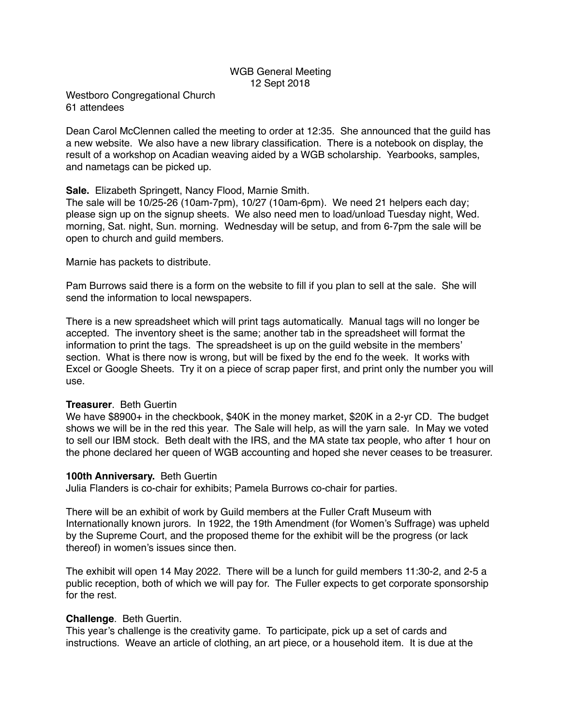# WGB General Meeting 12 Sept 2018

Westboro Congregational Church 61 attendees

Dean Carol McClennen called the meeting to order at 12:35. She announced that the guild has a new website. We also have a new library classification. There is a notebook on display, the result of a workshop on Acadian weaving aided by a WGB scholarship. Yearbooks, samples, and nametags can be picked up.

### **Sale.** Elizabeth Springett, Nancy Flood, Marnie Smith.

The sale will be 10/25-26 (10am-7pm), 10/27 (10am-6pm). We need 21 helpers each day; please sign up on the signup sheets. We also need men to load/unload Tuesday night, Wed. morning, Sat. night, Sun. morning. Wednesday will be setup, and from 6-7pm the sale will be open to church and guild members.

Marnie has packets to distribute.

Pam Burrows said there is a form on the website to fill if you plan to sell at the sale. She will send the information to local newspapers.

There is a new spreadsheet which will print tags automatically. Manual tags will no longer be accepted. The inventory sheet is the same; another tab in the spreadsheet will format the information to print the tags. The spreadsheet is up on the guild website in the members' section. What is there now is wrong, but will be fixed by the end fo the week. It works with Excel or Google Sheets. Try it on a piece of scrap paper first, and print only the number you will use.

#### **Treasurer**. Beth Guertin

We have \$8900+ in the checkbook, \$40K in the money market, \$20K in a 2-yr CD. The budget shows we will be in the red this year. The Sale will help, as will the yarn sale. In May we voted to sell our IBM stock. Beth dealt with the IRS, and the MA state tax people, who after 1 hour on the phone declared her queen of WGB accounting and hoped she never ceases to be treasurer.

#### **100th Anniversary.** Beth Guertin

Julia Flanders is co-chair for exhibits; Pamela Burrows co-chair for parties.

There will be an exhibit of work by Guild members at the Fuller Craft Museum with Internationally known jurors. In 1922, the 19th Amendment (for Women's Suffrage) was upheld by the Supreme Court, and the proposed theme for the exhibit will be the progress (or lack thereof) in women's issues since then.

The exhibit will open 14 May 2022. There will be a lunch for guild members 11:30-2, and 2-5 a public reception, both of which we will pay for. The Fuller expects to get corporate sponsorship for the rest.

## **Challenge**. Beth Guertin.

This year's challenge is the creativity game. To participate, pick up a set of cards and instructions. Weave an article of clothing, an art piece, or a household item. It is due at the